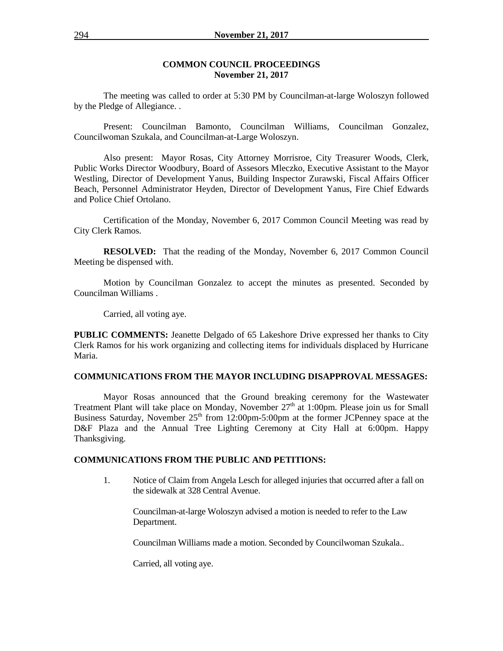### **COMMON COUNCIL PROCEEDINGS November 21, 2017**

The meeting was called to order at 5:30 PM by Councilman-at-large Woloszyn followed by the Pledge of Allegiance. .

Present: Councilman Bamonto, Councilman Williams, Councilman Gonzalez, Councilwoman Szukala, and Councilman-at-Large Woloszyn.

Also present: Mayor Rosas, City Attorney Morrisroe, City Treasurer Woods, Clerk, Public Works Director Woodbury, Board of Assesors Mleczko, Executive Assistant to the Mayor Westling, Director of Development Yanus, Building Inspector Zurawski, Fiscal Affairs Officer Beach, Personnel Administrator Heyden, Director of Development Yanus, Fire Chief Edwards and Police Chief Ortolano.

Certification of the Monday, November 6, 2017 Common Council Meeting was read by City Clerk Ramos.

**RESOLVED:** That the reading of the Monday, November 6, 2017 Common Council Meeting be dispensed with.

Motion by Councilman Gonzalez to accept the minutes as presented. Seconded by Councilman Williams .

Carried, all voting aye.

**PUBLIC COMMENTS:** Jeanette Delgado of 65 Lakeshore Drive expressed her thanks to City Clerk Ramos for his work organizing and collecting items for individuals displaced by Hurricane Maria.

### **COMMUNICATIONS FROM THE MAYOR INCLUDING DISAPPROVAL MESSAGES:**

Mayor Rosas announced that the Ground breaking ceremony for the Wastewater Treatment Plant will take place on Monday, November  $27<sup>th</sup>$  at 1:00pm. Please join us for Small Business Saturday, November  $25<sup>th</sup>$  from 12:00pm-5:00pm at the former JCPenney space at the D&F Plaza and the Annual Tree Lighting Ceremony at City Hall at 6:00pm. Happy Thanksgiving.

### **COMMUNICATIONS FROM THE PUBLIC AND PETITIONS:**

1. Notice of Claim from Angela Lesch for alleged injuries that occurred after a fall on the sidewalk at 328 Central Avenue.

Councilman-at-large Woloszyn advised a motion is needed to refer to the Law Department.

Councilman Williams made a motion. Seconded by Councilwoman Szukala..

Carried, all voting aye.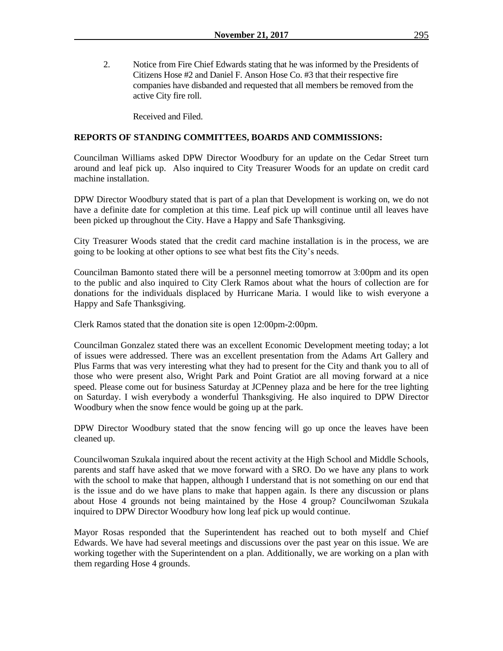2. Notice from Fire Chief Edwards stating that he was informed by the Presidents of Citizens Hose #2 and Daniel F. Anson Hose Co. #3 that their respective fire companies have disbanded and requested that all members be removed from the active City fire roll.

Received and Filed.

### **REPORTS OF STANDING COMMITTEES, BOARDS AND COMMISSIONS:**

Councilman Williams asked DPW Director Woodbury for an update on the Cedar Street turn around and leaf pick up. Also inquired to City Treasurer Woods for an update on credit card machine installation.

DPW Director Woodbury stated that is part of a plan that Development is working on, we do not have a definite date for completion at this time. Leaf pick up will continue until all leaves have been picked up throughout the City. Have a Happy and Safe Thanksgiving.

City Treasurer Woods stated that the credit card machine installation is in the process, we are going to be looking at other options to see what best fits the City's needs.

Councilman Bamonto stated there will be a personnel meeting tomorrow at 3:00pm and its open to the public and also inquired to City Clerk Ramos about what the hours of collection are for donations for the individuals displaced by Hurricane Maria. I would like to wish everyone a Happy and Safe Thanksgiving.

Clerk Ramos stated that the donation site is open 12:00pm-2:00pm.

Councilman Gonzalez stated there was an excellent Economic Development meeting today; a lot of issues were addressed. There was an excellent presentation from the Adams Art Gallery and Plus Farms that was very interesting what they had to present for the City and thank you to all of those who were present also, Wright Park and Point Gratiot are all moving forward at a nice speed. Please come out for business Saturday at JCPenney plaza and be here for the tree lighting on Saturday. I wish everybody a wonderful Thanksgiving. He also inquired to DPW Director Woodbury when the snow fence would be going up at the park.

DPW Director Woodbury stated that the snow fencing will go up once the leaves have been cleaned up.

Councilwoman Szukala inquired about the recent activity at the High School and Middle Schools, parents and staff have asked that we move forward with a SRO. Do we have any plans to work with the school to make that happen, although I understand that is not something on our end that is the issue and do we have plans to make that happen again. Is there any discussion or plans about Hose 4 grounds not being maintained by the Hose 4 group? Councilwoman Szukala inquired to DPW Director Woodbury how long leaf pick up would continue.

Mayor Rosas responded that the Superintendent has reached out to both myself and Chief Edwards. We have had several meetings and discussions over the past year on this issue. We are working together with the Superintendent on a plan. Additionally, we are working on a plan with them regarding Hose 4 grounds.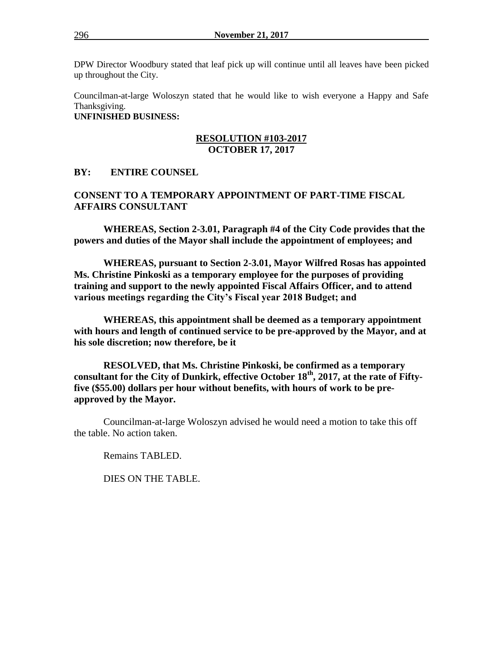DPW Director Woodbury stated that leaf pick up will continue until all leaves have been picked up throughout the City.

Councilman-at-large Woloszyn stated that he would like to wish everyone a Happy and Safe Thanksgiving. **UNFINISHED BUSINESS:**

### **RESOLUTION #103-2017 OCTOBER 17, 2017**

## **BY: ENTIRE COUNSEL**

# **CONSENT TO A TEMPORARY APPOINTMENT OF PART-TIME FISCAL AFFAIRS CONSULTANT**

**WHEREAS, Section 2-3.01, Paragraph #4 of the City Code provides that the powers and duties of the Mayor shall include the appointment of employees; and**

**WHEREAS, pursuant to Section 2-3.01, Mayor Wilfred Rosas has appointed Ms. Christine Pinkoski as a temporary employee for the purposes of providing training and support to the newly appointed Fiscal Affairs Officer, and to attend various meetings regarding the City's Fiscal year 2018 Budget; and**

**WHEREAS, this appointment shall be deemed as a temporary appointment with hours and length of continued service to be pre-approved by the Mayor, and at his sole discretion; now therefore, be it**

**RESOLVED, that Ms. Christine Pinkoski, be confirmed as a temporary consultant for the City of Dunkirk, effective October 18th, 2017, at the rate of Fiftyfive (\$55.00) dollars per hour without benefits, with hours of work to be preapproved by the Mayor.**

Councilman-at-large Woloszyn advised he would need a motion to take this off the table. No action taken.

Remains TABLED.

DIES ON THE TABLE.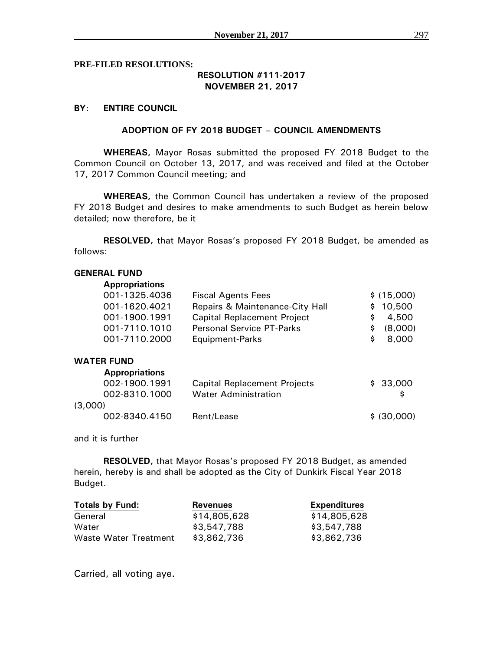**PRE-FILED RESOLUTIONS:**

## **RESOLUTION #111-2017 NOVEMBER 21, 2017**

### **BY: ENTIRE COUNCIL**

### **ADOPTION OF FY 2018 BUDGET – COUNCIL AMENDMENTS**

**WHEREAS,** Mayor Rosas submitted the proposed FY 2018 Budget to the Common Council on October 13, 2017, and was received and filed at the October 17, 2017 Common Council meeting; and

**WHEREAS,** the Common Council has undertaken a review of the proposed FY 2018 Budget and desires to make amendments to such Budget as herein below detailed; now therefore, be it

**RESOLVED,** that Mayor Rosas's proposed FY 2018 Budget, be amended as follows:

### **GENERAL FUND Appropriations**

| <b>Appropriations</b> |                                    |    |             |
|-----------------------|------------------------------------|----|-------------|
| 001-1325.4036         | <b>Fiscal Agents Fees</b>          |    | \$ (15,000) |
| 001-1620.4021         | Repairs & Maintenance-City Hall    |    | \$10,500    |
| 001-1900.1991         | <b>Capital Replacement Project</b> | S. | 4,500       |
| 001-7110.1010         | <b>Personal Service PT-Parks</b>   | S. | (8,000)     |
| 001-7110.2000         | Equipment-Parks                    | S  | 8,000       |
|                       |                                    |    |             |

### **WATER FUND**

| <b>Appropriations</b> |                                     |             |
|-----------------------|-------------------------------------|-------------|
| 002-1900.1991         | <b>Capital Replacement Projects</b> | \$33,000    |
| 002-8310.1000         | <b>Water Administration</b>         |             |
| (3,000)               |                                     |             |
| 002-8340.4150         | Rent/Lease                          | \$ (30,000) |

and it is further

**RESOLVED,** that Mayor Rosas's proposed FY 2018 Budget, as amended herein, hereby is and shall be adopted as the City of Dunkirk Fiscal Year 2018 Budget.

| <b>Totals by Fund:</b> | <b>Revenues</b> | <b>Expenditures</b> |
|------------------------|-----------------|---------------------|
| General                | \$14,805,628    | \$14,805,628        |
| Water                  | \$3,547,788     | \$3,547,788         |
| Waste Water Treatment  | \$3,862,736     | \$3,862,736         |

Carried, all voting aye.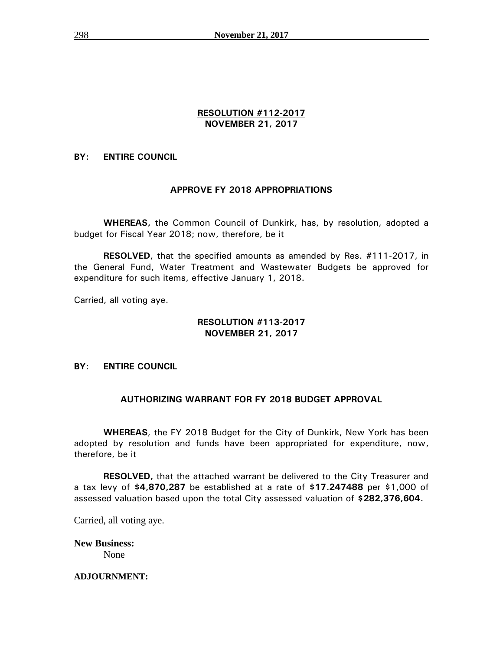# **RESOLUTION #112-2017 NOVEMBER 21, 2017**

# **BY: ENTIRE COUNCIL**

# **APPROVE FY 2018 APPROPRIATIONS**

**WHEREAS,** the Common Council of Dunkirk, has, by resolution, adopted a budget for Fiscal Year 2018; now, therefore, be it

**RESOLVED**, that the specified amounts as amended by Res. #111-2017, in the General Fund, Water Treatment and Wastewater Budgets be approved for expenditure for such items, effective January 1, 2018.

Carried, all voting aye.

## **RESOLUTION #113-2017 NOVEMBER 21, 2017**

# **BY: ENTIRE COUNCIL**

# **AUTHORIZING WARRANT FOR FY 2018 BUDGET APPROVAL**

**WHEREAS**, the FY 2018 Budget for the City of Dunkirk, New York has been adopted by resolution and funds have been appropriated for expenditure, now, therefore, be it

**RESOLVED,** that the attached warrant be delivered to the City Treasurer and a tax levy of **\$4,870,287** be established at a rate of **\$17.247488** per \$1,000 of assessed valuation based upon the total City assessed valuation of **\$282,376,604.**

Carried, all voting aye.

**New Business:** None

### **ADJOURNMENT:**